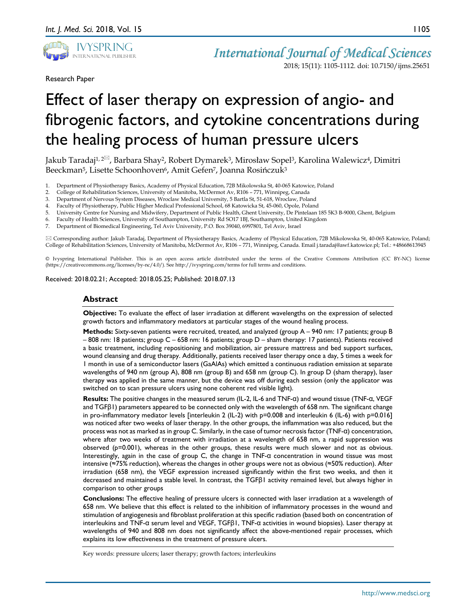

Research Paper

2018; 15(11): 1105-1112. doi: 10.7150/ijms.25651

# Effect of laser therapy on expression of angio- and fibrogenic factors, and cytokine concentrations during the healing process of human pressure ulcers

Jakub Taradaj<sup>1, 2 $\overline{\otimes}$ , Barbara Shay<sup>2</sup>, Robert Dymarek<sup>3</sup>, Mirosław Sopel<sup>3</sup>, Karolina Walewicz<sup>4</sup>, Dimitri</sup> Beeckman<sup>5</sup>, Lisette Schoonhoven<sup>6</sup>, Amit Gefen<sup>7</sup>, Joanna Rosińczuk<sup>3</sup>

- 1. Department of Physiotherapy Basics, Academy of Physical Education, 72B Mikolowska St, 40-065 Katowice, Poland<br>2. College of Rehabilitation Sciences, University of Manitoba, McDermot Av, R106 771, Winnipeg, Canada
- 2. College of Rehabilitation Sciences, University of Manitoba, McDermot Av, R106 771, Winnipeg, Canada
- 3. Department of Nervous System Diseases, Wroclaw Medical University, 5 Bartla St, 51-618, Wroclaw, Poland
- 4. Faculty of Physiotherapy, Public Higher Medical Professional School, 68 Katowicka St, 45-060, Opole, Poland
- 5. University Centre for Nursing and Midwifery, Department of Public Health, Ghent University, De Pintelaan 185 5K3 B-9000, Ghent, Belgium
- 6. Faculty of Health Sciences, University of Southampton, University Rd SO17 1BJ, Southampton, United Kingdom
- 7. Department of Biomedical Engineering, Tel Aviv University, P.O. Box 39040, 6997801, Tel Aviv, Israel

 Corresponding author: Jakub Taradaj, Department of Physiotherapy Basics, Academy of Physical Education, 72B Mikolowska St, 40-065 Katowice, Poland; College of Rehabilitation Sciences, University of Manitoba, McDermot Av, R106 – 771, Winnipeg, Canada. Email j.taradaj@awf.katowice.pl; Tel.: +48668613945

© Ivyspring International Publisher. This is an open access article distributed under the terms of the Creative Commons Attribution (CC BY-NC) license (https://creativecommons.org/licenses/by-nc/4.0/). See http://ivyspring.com/terms for full terms and conditions.

Received: 2018.02.21; Accepted: 2018.05.25; Published: 2018.07.13

## **Abstract**

**Objective:** To evaluate the effect of laser irradiation at different wavelengths on the expression of selected growth factors and inflammatory mediators at particular stages of the wound healing process.

**Methods:** Sixty-seven patients were recruited, treated, and analyzed (group A – 940 nm: 17 patients; group B – 808 nm: 18 patients; group C – 658 nm: 16 patients; group D – sham therapy: 17 patients). Patients received a basic treatment, including repositioning and mobilization, air pressure mattress and bed support surfaces, wound cleansing and drug therapy. Additionally, patients received laser therapy once a day, 5 times a week for 1 month in use of a semiconductor lasers (GaAlAs) which emitted a continuous radiation emission at separate wavelengths of 940 nm (group A), 808 nm (group B) and 658 nm (group C). In group D (sham therapy), laser therapy was applied in the same manner, but the device was off during each session (only the applicator was switched on to scan pressure ulcers using none coherent red visible light).

**Results:** The positive changes in the measured serum (IL-2, IL-6 and TNF-α) and wound tissue (TNF-α, VEGF and TGFβ1) parameters appeared to be connected only with the wavelength of 658 nm. The significant change in pro-inflammatory mediator levels [interleukin 2 (IL-2) with p=0.008 and interleukin 6 (IL-6) with p=0.016] was noticed after two weeks of laser therapy. In the other groups, the inflammation was also reduced, but the process was not as marked as in group C. Similarly, in the case of tumor necrosis factor (TNF-α) concentration, where after two weeks of treatment with irradiation at a wavelength of 658 nm, a rapid suppression was observed (p=0.001), whereas in the other groups, these results were much slower and not as obvious. Interestingly, again in the case of group C, the change in TNF-α concentration in wound tissue was most intensive (≈75% reduction), whereas the changes in other groups were not as obvious (≈50% reduction). After irradiation (658 nm), the VEGF expression increased significantly within the first two weeks, and then it decreased and maintained a stable level. In contrast, the TGFβ1 activity remained level, but always higher in comparison to other groups

**Conclusions:** The effective healing of pressure ulcers is connected with laser irradiation at a wavelength of 658 nm. We believe that this effect is related to the inhibition of inflammatory processes in the wound and stimulation of angiogenesis and fibroblast proliferation at this specific radiation (based both on concentration of interleukins and TNF-α serum level and VEGF, TGFβ1, TNF-α activities in wound biopsies). Laser therapy at wavelengths of 940 and 808 nm does not significantly affect the above-mentioned repair processes, which explains its low effectiveness in the treatment of pressure ulcers.

Key words: pressure ulcers; laser therapy; growth factors; interleukins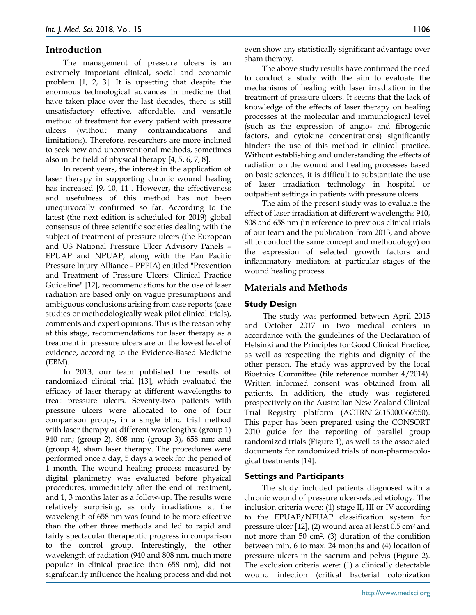## **Introduction**

The management of pressure ulcers is an extremely important clinical, social and economic problem [1, 2, 3]. It is upsetting that despite the enormous technological advances in medicine that have taken place over the last decades, there is still unsatisfactory effective, affordable, and versatile method of treatment for every patient with pressure ulcers (without many contraindications and limitations). Therefore, researchers are more inclined to seek new and unconventional methods, sometimes also in the field of physical therapy [4, 5, 6, 7, 8].

In recent years, the interest in the application of laser therapy in supporting chronic wound healing has increased [9, 10, 11]. However, the effectiveness and usefulness of this method has not been unequivocally confirmed so far. According to the latest (the next edition is scheduled for 2019) global consensus of three scientific societies dealing with the subject of treatment of pressure ulcers (the European and US National Pressure Ulcer Advisory Panels – EPUAP and NPUAP, along with the Pan Pacific Pressure Injury Alliance – PPPIA) entitled "Prevention and Treatment of Pressure Ulcers: Clinical Practice Guideline" [12], recommendations for the use of laser radiation are based only on vague presumptions and ambiguous conclusions arising from case reports (case studies or methodologically weak pilot clinical trials), comments and expert opinions. This is the reason why at this stage, recommendations for laser therapy as a treatment in pressure ulcers are on the lowest level of evidence, according to the Evidence-Based Medicine (EBM).

In 2013, our team published the results of randomized clinical trial [13], which evaluated the efficacy of laser therapy at different wavelengths to treat pressure ulcers. Seventy-two patients with pressure ulcers were allocated to one of four comparison groups, in a single blind trial method with laser therapy at different wavelengths: (group 1) 940 nm; (group 2), 808 nm; (group 3), 658 nm; and (group 4), sham laser therapy. The procedures were performed once a day, 5 days a week for the period of 1 month. The wound healing process measured by digital planimetry was evaluated before physical procedures, immediately after the end of treatment, and 1, 3 months later as a follow-up. The results were relatively surprising, as only irradiations at the wavelength of 658 nm was found to be more effective than the other three methods and led to rapid and fairly spectacular therapeutic progress in comparison to the control group. Interestingly, the other wavelength of radiation (940 and 808 nm, much more popular in clinical practice than 658 nm), did not significantly influence the healing process and did not

even show any statistically significant advantage over sham therapy.

The above study results have confirmed the need to conduct a study with the aim to evaluate the mechanisms of healing with laser irradiation in the treatment of pressure ulcers. It seems that the lack of knowledge of the effects of laser therapy on healing processes at the molecular and immunological level (such as the expression of angio- and fibrogenic factors, and cytokine concentrations) significantly hinders the use of this method in clinical practice. Without establishing and understanding the effects of radiation on the wound and healing processes based on basic sciences, it is difficult to substantiate the use of laser irradiation technology in hospital or outpatient settings in patients with pressure ulcers.

The aim of the present study was to evaluate the effect of laser irradiation at different wavelengths 940, 808 and 658 nm (in reference to previous clinical trials of our team and the publication from 2013, and above all to conduct the same concept and methodology) on the expression of selected growth factors and inflammatory mediators at particular stages of the wound healing process.

## **Materials and Methods**

## **Study Design**

The study was performed between April 2015 and October 2017 in two medical centers in accordance with the guidelines of the Declaration of Helsinki and the Principles for Good Clinical Practice, as well as respecting the rights and dignity of the other person. The study was approved by the local Bioethics Committee (file reference number 4/2014). Written informed consent was obtained from all patients. In addition, the study was registered prospectively on the Australian New Zealand Clinical Trial Registry platform (ACTRN12615000366550). This paper has been prepared using the CONSORT 2010 guide for the reporting of parallel group randomized trials (Figure 1), as well as the associated documents for randomized trials of non-pharmacological treatments [14].

## **Settings and Participants**

The study included patients diagnosed with a chronic wound of pressure ulcer-related etiology. The inclusion criteria were: (1) stage II, III or IV according to the EPUAP/NPUAP classification system for pressure ulcer [12], (2) wound area at least 0.5 cm<sup>2</sup> and not more than 50 cm2, (3) duration of the condition between min. 6 to max. 24 months and (4) location of pressure ulcers in the sacrum and pelvis (Figure 2). The exclusion criteria were: (1) a clinically detectable wound infection (critical bacterial colonization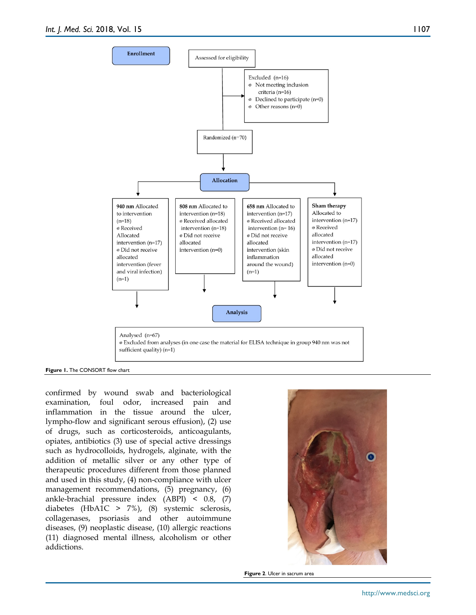

**Figure 1.** The CONSORT flow chart

confirmed by wound swab and bacteriological examination, foul odor, increased pain and inflammation in the tissue around the ulcer, lympho-flow and significant serous effusion), (2) use of drugs, such as corticosteroids, anticoagulants, opiates, antibiotics (3) use of special active dressings such as hydrocolloids, hydrogels, alginate, with the addition of metallic silver or any other type of therapeutic procedures different from those planned and used in this study, (4) non-compliance with ulcer management recommendations, (5) pregnancy, (6) ankle-brachial pressure index (ABPI) < 0.8, (7) diabetes (HbA1C > 7%), (8) systemic sclerosis, collagenases, psoriasis and other autoimmune diseases, (9) neoplastic disease, (10) allergic reactions (11) diagnosed mental illness, alcoholism or other addictions.



**Figure 2**. Ulcer in sacrum area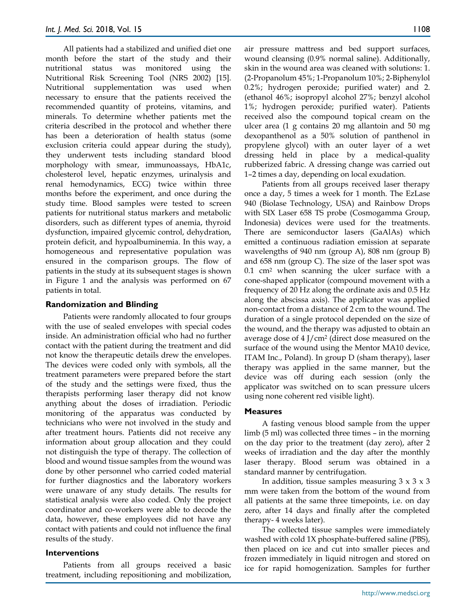All patients had a stabilized and unified diet one month before the start of the study and their nutritional status was monitored using the Nutritional Risk Screening Tool (NRS 2002) [15]. Nutritional supplementation was used when necessary to ensure that the patients received the recommended quantity of proteins, vitamins, and minerals. To determine whether patients met the criteria described in the protocol and whether there has been a deterioration of health status (some exclusion criteria could appear during the study), they underwent tests including standard blood morphology with smear, immunoassays, HbA1c, cholesterol level, hepatic enzymes, urinalysis and renal hemodynamics, ECG) twice within three months before the experiment, and once during the study time. Blood samples were tested to screen patients for nutritional status markers and metabolic disorders, such as different types of anemia, thyroid dysfunction, impaired glycemic control, dehydration, protein deficit, and hypoalbuminemia. In this way, a homogeneous and representative population was ensured in the comparison groups. The flow of patients in the study at its subsequent stages is shown in Figure 1 and the analysis was performed on 67 patients in total.

## **Randomization and Blinding**

Patients were randomly allocated to four groups with the use of sealed envelopes with special codes inside. An administration official who had no further contact with the patient during the treatment and did not know the therapeutic details drew the envelopes. The devices were coded only with symbols, all the treatment parameters were prepared before the start of the study and the settings were fixed, thus the therapists performing laser therapy did not know anything about the doses of irradiation. Periodic monitoring of the apparatus was conducted by technicians who were not involved in the study and after treatment hours. Patients did not receive any information about group allocation and they could not distinguish the type of therapy. The collection of blood and wound tissue samples from the wound was done by other personnel who carried coded material for further diagnostics and the laboratory workers were unaware of any study details. The results for statistical analysis were also coded. Only the project coordinator and co-workers were able to decode the data, however, these employees did not have any contact with patients and could not influence the final results of the study.

## **Interventions**

Patients from all groups received a basic treatment, including repositioning and mobilization,

air pressure mattress and bed support surfaces, wound cleansing (0.9% normal saline). Additionally, skin in the wound area was cleaned with solutions: 1. (2-Propanolum 45%; 1-Propanolum 10%; 2-Biphenylol 0.2%; hydrogen peroxide; purified water) and 2. (ethanol 46%; isopropyl alcohol 27%; benzyl alcohol 1%; hydrogen peroxide; purified water). Patients received also the compound topical cream on the ulcer area (1 g contains 20 mg allantoin and 50 mg dexopanthenol as a 50% solution of panthenol in propylene glycol) with an outer layer of a wet dressing held in place by a medical-quality rubberized fabric. A dressing change was carried out 1–2 times a day, depending on local exudation.

Patients from all groups received laser therapy once a day, 5 times a week for 1 month. The EzLase 940 (Biolase Technology, USA) and Rainbow Drops with SIX Laser 658 TS probe (Cosmogamma Group, Indonesia) devices were used for the treatments. There are semiconductor lasers (GaAlAs) which emitted a continuous radiation emission at separate wavelengths of 940 nm (group A), 808 nm (group B) and 658 nm (group C). The size of the laser spot was 0.1 cm<sup>2</sup> when scanning the ulcer surface with a cone-shaped applicator (compound movement with a frequency of 20 Hz along the ordinate axis and 0.5 Hz along the abscissa axis). The applicator was applied non-contact from a distance of 2 cm to the wound. The duration of a single protocol depended on the size of the wound, and the therapy was adjusted to obtain an average dose of 4 J/cm<sup>2</sup> (direct dose measured on the surface of the wound using the Mentor MA10 device, ITAM Inc., Poland). In group D (sham therapy), laser therapy was applied in the same manner, but the device was off during each session (only the applicator was switched on to scan pressure ulcers using none coherent red visible light).

## **Measures**

A fasting venous blood sample from the upper limb (5 ml) was collected three times – in the morning on the day prior to the treatment (day zero), after 2 weeks of irradiation and the day after the monthly laser therapy. Blood serum was obtained in a standard manner by centrifugation.

In addition, tissue samples measuring  $3 \times 3 \times 3$ mm were taken from the bottom of the wound from all patients at the same three timepoints, i.e. on day zero, after 14 days and finally after the completed therapy- 4 weeks later).

The collected tissue samples were immediately washed with cold 1X phosphate-buffered saline (PBS), then placed on ice and cut into smaller pieces and frozen immediately in liquid nitrogen and stored on ice for rapid homogenization. Samples for further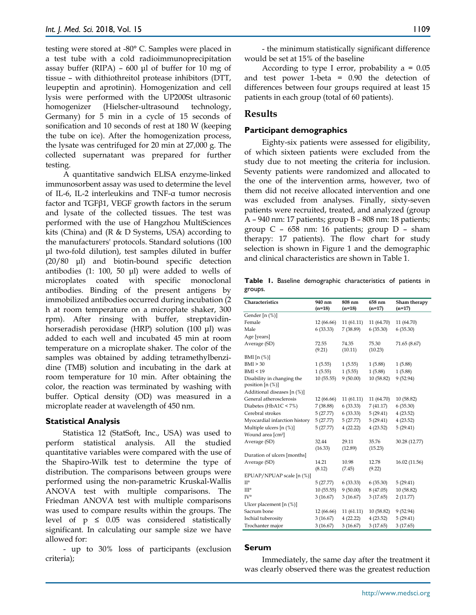testing were stored at -80° C. Samples were placed in a test tube with a cold radioimmunoprecipitation assay buffer (RIPA) – 600 μl of buffer for 10 mg of tissue – with dithiothreitol protease inhibitors (DTT, leupeptin and aprotinin). Homogenization and cell lysis were performed with the UP200St ultrasonic homogenizer (Hielscher-ultrasound technology, Germany) for 5 min in a cycle of 15 seconds of sonification and 10 seconds of rest at 180 W (keeping the tube on ice). After the homogenization process, the lysate was centrifuged for 20 min at 27,000 g. The collected supernatant was prepared for further testing.

A quantitative sandwich ELISA enzyme-linked immunosorbent assay was used to determine the level of IL-6, IL-2 interleukins and TNF-α tumor necrosis factor and TGFβ1, VEGF growth factors in the serum and lysate of the collected tissues. The test was performed with the use of Hangzhou MultiSciences kits (China) and (R & D Systems, USA) according to the manufacturers' protocols. Standard solutions (100 μl two-fold dilution), test samples diluted in buffer (20/80 μl) and biotin-bound specific detection antibodies (1: 100, 50 μl) were added to wells of microplates coated with specific monoclonal antibodies. Binding of the present antigens by immobilized antibodies occurred during incubation (2 h at room temperature on a microplate shaker, 300 rpm). After rinsing with buffer, streptavidinhorseradish peroxidase (HRP) solution (100 μl) was added to each well and incubated 45 min at room temperature on a microplate shaker. The color of the samples was obtained by adding tetramethylbenzidine (TMB) solution and incubating in the dark at room temperature for 10 min. After obtaining the color, the reaction was terminated by washing with buffer. Optical density (OD) was measured in a microplate reader at wavelength of 450 nm.

## **Statistical Analysis**

Statistica 12 (StatSoft, Inc., USA) was used to perform statistical analysis. All the studied quantitative variables were compared with the use of the Shapiro-Wilk test to determine the type of distribution. The comparisons between groups were performed using the non-parametric Kruskal-Wallis ANOVA test with multiple comparisons. The Friedman ANOVA test with multiple comparisons was used to compare results within the groups. The level of  $p \leq 0.05$  was considered statistically significant. In calculating our sample size we have allowed for:

- up to 30% loss of participants (exclusion criteria);

- the minimum statistically significant difference would be set at 15% of the baseline

According to type I error, probability  $a = 0.05$ and test power 1-beta = 0.90 the detection of differences between four groups required at least 15 patients in each group (total of 60 patients).

# **Results**

## **Participant demographics**

Eighty-six patients were assessed for eligibility, of which sixteen patients were excluded from the study due to not meeting the criteria for inclusion. Seventy patients were randomized and allocated to the one of the intervention arms, however, two of them did not receive allocated intervention and one was excluded from analyses. Finally, sixty-seven patients were recruited, treated, and analyzed (group A – 940 nm: 17 patients; group B – 808 nm: 18 patients; group C – 658 nm: 16 patients; group D – sham therapy: 17 patients). The flow chart for study selection is shown in Figure 1 and the demographic and clinical characteristics are shown in Table 1.

**Table 1.** Baseline demographic characteristics of patients in groups.

| Characteristics               | 940 nm<br>$(n=18)$ | 808 nm<br>$(n=18)$ | 658 nm<br>$(n=17)$ | Sham therapy<br>$(n=17)$ |
|-------------------------------|--------------------|--------------------|--------------------|--------------------------|
| Gender [n (%)]                |                    |                    |                    |                          |
| Female                        | 12 (66.66)         | 11(61.11)          | 11 (64.70)         | 11 (64.70)               |
| Male                          | 6(33.33)           | 7(38.89)           | 6(35.30)           | 6(35.30)                 |
| Age [years]                   |                    |                    |                    |                          |
| Average (SD)                  | 72.55              | 74.35              | 75.30              | 71.65 (8.67)             |
|                               | (9.21)             | (10.11)            | (10.23)            |                          |
| BMI $[n \ (\%)]$              |                    |                    |                    |                          |
| BMI > 30                      | 1(5.55)            | 1(5.55)            | 1(5.88)            | 1(5.88)                  |
| BMI < 19                      | 1(5.55)            | 1(5.55)            | 1(5.88)            | 1(5.88)                  |
| Disability in changing the    | 10 (55.55)         | 9(50.00)           | 10 (58.82)         | 9(52.94)                 |
| position $[n(\%)]$            |                    |                    |                    |                          |
| Additional diseases [n (%)]   |                    |                    |                    |                          |
| General atherosclerosis       | 12 (66.66)         | 11(61.11)          | 11 (64.70)         | 10(58.82)                |
| Diabetes ( $HbA1C < 7\%$ )    | 7 (38.88)          | 6(33.33)           | 7 (41.17)          | 6(35.30)                 |
| Cerebral strokes              | 5(27.77)           | 6(33.33)           | 5(29.41)           | 4(23.52)                 |
| Myocardial infarction history | 5(27.77)           | 5(27.77)           | 5 (29.41)          | 4(23.52)                 |
| Multiple ulcers $[n (\%)]$    | 5(27.77)           | 4(22.22)           | 4(23.52)           | 5(29.41)                 |
| Wound area [cm <sup>2</sup> ] |                    |                    |                    |                          |
| Average (SD)                  | 32.44              | 29.11              | 35.76              | 30.28 (12.77)            |
|                               | (16.33)            | (12.89)            | (15.23)            |                          |
| Duration of ulcers [months]   |                    |                    |                    |                          |
| Average (SD)                  | 14.21              | 10.98              | 12.78              | 16.02 (11.56)            |
|                               | (8.12)             | (7.45)             | (9.22)             |                          |
| EPUAP/NPUAP scale [n (%)]     |                    |                    |                    |                          |
| $\Pi^{\circ}$                 | 5(27.77)           | 6(33.33)           | 6(35.30)           | 5(29.41)                 |
| III°                          | 10(55.55)          | 9(50.00)           | 8 (47.05)          | 10 (58.82)               |
| IV°                           | 3(16.67)           | 3(16.67)           | 3(17.65)           | 2(11.77)                 |
| Ulcer placement $[n (\%)]$    |                    |                    |                    |                          |
| Sacrum bone                   | 12 (66.66)         | 11(61.11)          | 10(58.82)          | 9(52.94)                 |
| Ischial tuberosity            | 3(16.67)           | 4(22.22)           | 4(23.52)           | 5(29.41)                 |
| Trochanter major              | 3(16.67)           | 3(16.67)           | 3(17.65)           | 3(17.65)                 |

## **Serum**

Immediately, the same day after the treatment it was clearly observed there was the greatest reduction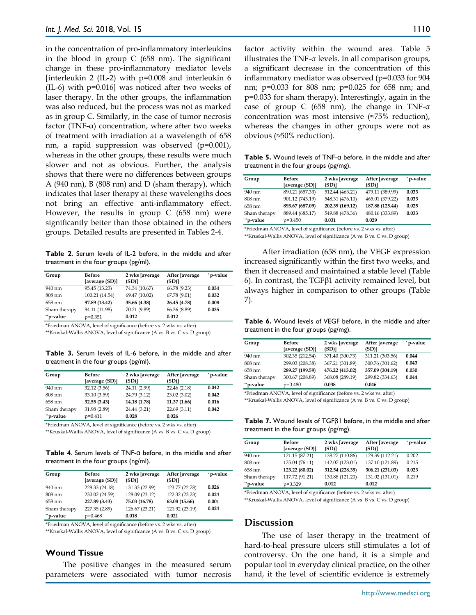in the concentration of pro-inflammatory interleukins in the blood in group C (658 nm). The significant change in these pro-inflammatory mediator levels [interleukin 2 (IL-2) with p=0.008 and interleukin 6 (IL-6) with p=0.016] was noticed after two weeks of laser therapy. In the other groups, the inflammation was also reduced, but the process was not as marked as in group C. Similarly, in the case of tumor necrosis factor (TNF-α) concentration, where after two weeks of treatment with irradiation at a wavelength of 658 nm, a rapid suppression was observed (p=0.001), whereas in the other groups, these results were much slower and not as obvious. Further, the analysis shows that there were no differences between groups A (940 nm), B (808 nm) and D (sham therapy), which indicates that laser therapy at these wavelengths does not bring an effective anti-inflammatory effect. However, the results in group C (658 nm) were significantly better than those obtained in the others groups. Detailed results are presented in Tables 2-4.

**Table 2**. Serum levels of IL-2 before, in the middle and after treatment in the four groups (pg/ml).

| Group        | <b>Before</b><br>[average (SD)] | 2 wks [average<br>$(SD)$ ] | After Javerage<br>(SD)] | *p-value |
|--------------|---------------------------------|----------------------------|-------------------------|----------|
| 940 nm       | 95.45 (13.23)                   | 74.34 (10.67)              | 66.78 (9.23)            | 0.034    |
| 808 nm       | 100.21 (14.54)                  | 69.47 (10.02)              | 67.78 (9.01)            | 0.032    |
| 658 nm       | 97.89 (13.42)                   | 35.66 (4.38)               | 26.45 (4.78)            | 0.008    |
| Sham therapy | 94.11 (11.98)                   | 70.21 (9.89)               | 66.36 (8.89)            | 0.035    |
| **p-value    | $p=0.351$                       | 0.012                      | 0.012                   |          |

\*Friedman ANOVA, level of significance (before vs. 2 wks vs. after)

\*\*Kruskal-Wallis ANOVA, level of significance (A vs. B vs. C vs. D group)

**Table 3.** Serum levels of IL-6 before, in the middle and after treatment in the four groups (pg/ml).

| Group        | <b>Before</b><br>[average (SD)] | 2 wks [average<br>(SD) | After [average<br>(SD) | *p-value |
|--------------|---------------------------------|------------------------|------------------------|----------|
| 940 nm       | 32.12 (3.56)                    | 24.11 (2.99)           | 22.46 (2.18)           | 0.042    |
| 808 nm       | 33.10 (3.59)                    | 24.79 (3.12)           | 23.02 (3.02)           | 0.042    |
| 658 nm       | 32.55 (3.43)                    | 14.18 (1.78)           | 11.37(1.66)            | 0.016    |
| Sham therapy | 31.98 (2.89)                    | 24.44 (3.21)           | 22.69(3.11)            | 0.042    |
| "p-value     | $p=0.411$                       | 0.028                  | 0.026                  |          |

\*Friedman ANOVA, level of significance (before vs. 2 wks vs. after)

\*\*Kruskal-Wallis ANOVA, level of significance (A vs. B vs. C vs. D group)

**Table 4**. Serum levels of TNF-α before, in the middle and after treatment in the four groups (ng/ml).

| Group        | <b>Before</b><br>[average (SD)] | 2 wks [average<br>$(SD)$ ] | After [average<br>(SD) | * p-value |
|--------------|---------------------------------|----------------------------|------------------------|-----------|
| 940 nm       | 228.33 (24.18)                  | 131.33 (22.99)             | 123.77 (22.78)         | 0.026     |
| 808 nm       | 230.02 (24.59)                  | 128.09 (23.12)             | 122.32 (23.23)         | 0.024     |
| 658 nm       | 227.89 (3.43)                   | 75.03 (16.78)              | 63.08 (15.66)          | 0.001     |
| Sham therapy | 227.35 (2.89)                   | 126.67 (23.21)             | 121.92 (23.19)         | 0.024     |
| **p-value    | $p=0.468$                       | 0.018                      | 0.021                  |           |

\*Friedman ANOVA, level of significance (before vs. 2 wks vs. after)

\*\*Kruskal-Wallis ANOVA, level of significance (A vs. B vs. C vs. D group)

## **Wound Tissue**

The positive changes in the measured serum parameters were associated with tumor necrosis factor activity within the wound area. Table 5 illustrates the TNF-α levels. In all comparison groups, a significant decrease in the concentration of this inflammatory mediator was observed (p=0.033 for 904 nm; p=0.033 for 808 nm; p=0.025 for 658 nm; and p=0.033 for sham therapy). Interestingly, again in the case of group C (658 nm), the change in TNF-α concentration was most intensive (≈75% reduction), whereas the changes in other groups were not as obvious (≈50% reduction).

**Table 5.** Wound levels of TNF-α before, in the middle and after treatment in the four groups (pg/mg).

| Group        | Before<br>[average (SD)] | 2 wks [average<br>$(SD)$ ] | After [average<br>(SD)] | * p-value |
|--------------|--------------------------|----------------------------|-------------------------|-----------|
| 940 nm       | 890.21 (657.33)          | 512.44 (463.21)            | 479.11 (389.99)         | 0.033     |
| 808 nm       | 901.12 (743.19)          | 548.31 (476.10)            | 465.01 (379.22)         | 0.033     |
| 658 nm       | 893.67 (687.09)          | 202.39 (169.12)            | 187.88 (125.44)         | 0.025     |
| Sham therapy | 889.44 (685.17)          | 549.88 (478.36)            | 480.16 (333.89)         | 0.033     |
| "p-value     | $p=0.450$                | 0.031                      | 0.029                   |           |

\*Friedman ANOVA, level of significance (before vs. 2 wks vs. after) \*\*Kruskal-Wallis ANOVA, level of significance (A vs. B vs. C vs. D group)

After irradiation (658 nm), the VEGF expression increased significantly within the first two weeks, and then it decreased and maintained a stable level (Table 6). In contrast, the TGFβ1 activity remained level, but always higher in comparison to other groups (Table 7).

**Table 6.** Wound levels of VEGF before, in the middle and after treatment in the four groups (pg/mg).

| Group        | <b>Before</b><br>[average (SD)] | 2 wks [average<br>$(SD)$ ] | After [average<br>(SD) | * p-value |
|--------------|---------------------------------|----------------------------|------------------------|-----------|
| 940 nm       | 302.35 (212.54)                 | 371.40 (300.73)            | 311.21 (303.56)        | 0.044     |
| 808 nm       | 299.03 (208.38)                 | 367.21 (301.89)            | 300.76 (301.62)        | 0.043     |
| 658 nm       | 289.27 (199.59)                 | 476.22 (413.02)            | 357.09 (304.19)        | 0.030     |
| Sham therapy | 300.67 (208.89)                 | 368.08 (289.19)            | 299.82 (334.63)        | 0.044     |
| "p-value     | $p=0.480$                       | 0.038                      | 0.046                  |           |

\*Friedman ANOVA, level of significance (before vs. 2 wks vs. after)

\*\*Kruskal-Wallis ANOVA, level of significance (A vs. B vs. C vs. D group)

**Table 7.** Wound levels of TGFβ1 before, in the middle and after treatment in the four groups (pg/mg).

| Group        | <b>Before</b><br>[average (SD)] | 2 wks [average<br>$(SD)$ ] | After [average<br>(SD) | *p-value |
|--------------|---------------------------------|----------------------------|------------------------|----------|
| 940 nm       | 121.15 (87.21)                  | 138.27 (110.86)            | 129.39 (112.21)        | 0.202    |
| 808 nm       | 125.04 (76.11)                  | 142.07 (123.01)            | 137.10 (121.89)        | 0.215    |
| 658 nm       | 123.22 (80.02)                  | 312.54 (228.35)            | 306.21 (231.03)        | 0.023    |
| Sham therapy | 117.72 (91.21)                  | 130.88 (121.20)            | 131.02 (131.01)        | 0.219    |
| "p-value     | $p=0.329$                       | 0.012                      | 0.012                  |          |

\*Friedman ANOVA, level of significance (before vs. 2 wks vs. after) \*\*Kruskal-Wallis ANOVA, level of significance (A vs. B vs. C vs. D group)

## **Discussion**

The use of laser therapy in the treatment of hard-to-heal pressure ulcers still stimulates a lot of controversy. On the one hand, it is a simple and popular tool in everyday clinical practice, on the other hand, it the level of scientific evidence is extremely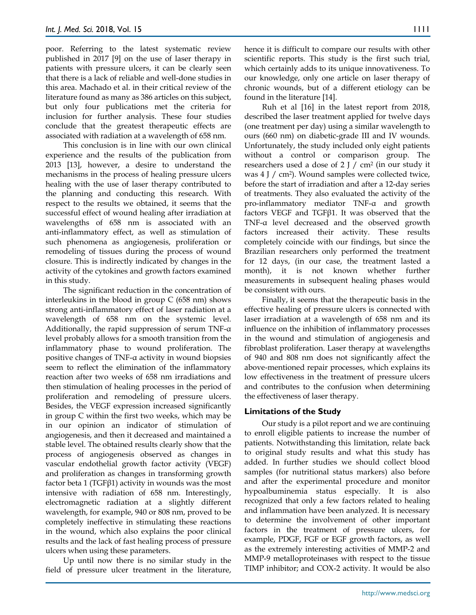poor. Referring to the latest systematic review published in 2017 [9] on the use of laser therapy in patients with pressure ulcers, it can be clearly seen that there is a lack of reliable and well-done studies in this area. Machado et al. in their critical review of the literature found as many as 386 articles on this subject, but only four publications met the criteria for inclusion for further analysis. These four studies conclude that the greatest therapeutic effects are associated with radiation at a wavelength of 658 nm.

This conclusion is in line with our own clinical experience and the results of the publication from 2013 [13], however, a desire to understand the mechanisms in the process of healing pressure ulcers healing with the use of laser therapy contributed to the planning and conducting this research. With respect to the results we obtained, it seems that the successful effect of wound healing after irradiation at wavelengths of 658 nm is associated with an anti-inflammatory effect, as well as stimulation of such phenomena as angiogenesis, proliferation or remodeling of tissues during the process of wound closure. This is indirectly indicated by changes in the activity of the cytokines and growth factors examined in this study.

The significant reduction in the concentration of interleukins in the blood in group C (658 nm) shows strong anti-inflammatory effect of laser radiation at a wavelength of 658 nm on the systemic level. Additionally, the rapid suppression of serum TNF-α level probably allows for a smooth transition from the inflammatory phase to wound proliferation. The positive changes of TNF-α activity in wound biopsies seem to reflect the elimination of the inflammatory reaction after two weeks of 658 nm irradiations and then stimulation of healing processes in the period of proliferation and remodeling of pressure ulcers. Besides, the VEGF expression increased significantly in group C within the first two weeks, which may be in our opinion an indicator of stimulation of angiogenesis, and then it decreased and maintained a stable level. The obtained results clearly show that the process of angiogenesis observed as changes in vascular endothelial growth factor activity (VEGF) and proliferation as changes in transforming growth factor beta 1 (TGFβ1) activity in wounds was the most intensive with radiation of 658 nm. Interestingly, electromagnetic radiation at a slightly different wavelength, for example, 940 or 808 nm, proved to be completely ineffective in stimulating these reactions in the wound, which also explains the poor clinical results and the lack of fast healing process of pressure ulcers when using these parameters.

Up until now there is no similar study in the field of pressure ulcer treatment in the literature,

hence it is difficult to compare our results with other scientific reports. This study is the first such trial, which certainly adds to its unique innovativeness. To our knowledge, only one article on laser therapy of chronic wounds, but of a different etiology can be found in the literature [14].

Ruh et al [16] in the latest report from 2018, described the laser treatment applied for twelve days (one treatment per day) using a similar wavelength to ours (660 nm) on diabetic-grade III and IV wounds. Unfortunately, the study included only eight patients without a control or comparison group. The researchers used a dose of  $2 J / cm<sup>2</sup>$  (in our study it was 4 J / cm<sup>2</sup>). Wound samples were collected twice, before the start of irradiation and after a 12-day series of treatments. They also evaluated the activity of the pro-inflammatory mediator TNF-α and growth factors VEGF and TGFβ1. It was observed that the TNF-α level decreased and the observed growth factors increased their activity. These results completely coincide with our findings, but since the Brazilian researchers only performed the treatment for 12 days, (in our case, the treatment lasted a month), it is not known whether further measurements in subsequent healing phases would be consistent with ours.

Finally, it seems that the therapeutic basis in the effective healing of pressure ulcers is connected with laser irradiation at a wavelength of 658 nm and its influence on the inhibition of inflammatory processes in the wound and stimulation of angiogenesis and fibroblast proliferation. Laser therapy at wavelengths of 940 and 808 nm does not significantly affect the above-mentioned repair processes, which explains its low effectiveness in the treatment of pressure ulcers and contributes to the confusion when determining the effectiveness of laser therapy.

## **Limitations of the Study**

Our study is a pilot report and we are continuing to enroll eligible patients to increase the number of patients. Notwithstanding this limitation, relate back to original study results and what this study has added. In further studies we should collect blood samples (for nutritional status markers) also before and after the experimental procedure and monitor hypoalbuminemia status especially. It is also recognized that only a few factors related to healing and inflammation have been analyzed. It is necessary to determine the involvement of other important factors in the treatment of pressure ulcers, for example, PDGF, FGF or EGF growth factors, as well as the extremely interesting activities of MMP-2 and MMP-9 metalloproteinases with respect to the tissue TIMP inhibitor; and COX-2 activity. It would be also